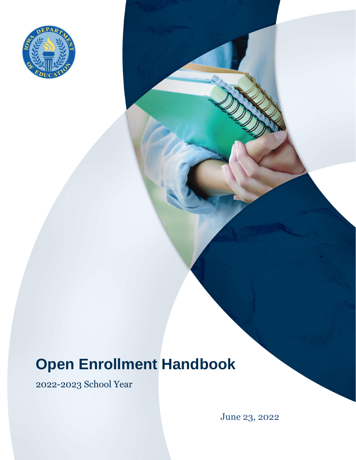

# **Open Enrollment Handbook**

2022-2023 School Year

June 23, 2022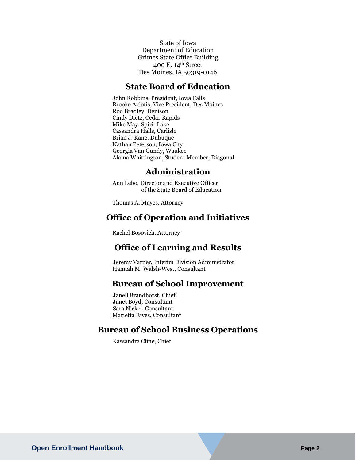State of Iowa Department of Education Grimes State Office Building 400 E. 14th Street Des Moines, IA 50319-0146

#### **State Board of Education**

John Robbins, President, Iowa Falls Brooke Axiotis, Vice President, Des Moines Rod Bradley, Denison Cindy Dietz, Cedar Rapids Mike May, Spirit Lake Cassandra Halls, Carlisle Brian J. Kane, Dubuque Nathan Peterson, Iowa City Georgia Van Gundy, Waukee Alaina Whittington, Student Member, Diagonal

#### **Administration**

Ann Lebo, Director and Executive Officer of the State Board of Education

Thomas A. Mayes, Attorney

### **Office of Operation and Initiatives**

Rachel Bosovich, Attorney

## **Office of Learning and Results**

Jeremy Varner, Interim Division Administrator Hannah M. Walsh-West, Consultant

#### **Bureau of School Improvement**

Janell Brandhorst, Chief Janet Boyd, Consultant Sara Nickel, Consultant Marietta Rives, Consultant

### **Bureau of School Business Operations**

Kassandra Cline, Chief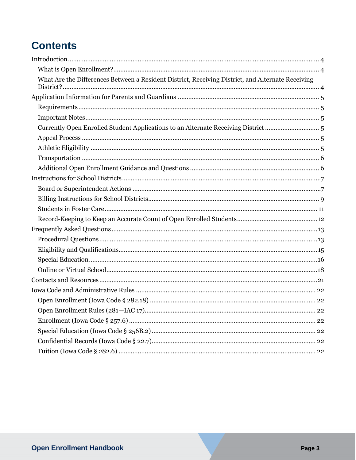## **Contents**

| What Are the Differences Between a Resident District, Receiving District, and Alternate Receiving |  |
|---------------------------------------------------------------------------------------------------|--|
|                                                                                                   |  |
|                                                                                                   |  |
|                                                                                                   |  |
| Currently Open Enrolled Student Applications to an Alternate Receiving District  5                |  |
|                                                                                                   |  |
|                                                                                                   |  |
|                                                                                                   |  |
|                                                                                                   |  |
|                                                                                                   |  |
|                                                                                                   |  |
|                                                                                                   |  |
|                                                                                                   |  |
|                                                                                                   |  |
|                                                                                                   |  |
|                                                                                                   |  |
|                                                                                                   |  |
|                                                                                                   |  |
|                                                                                                   |  |
|                                                                                                   |  |
|                                                                                                   |  |
|                                                                                                   |  |
|                                                                                                   |  |
|                                                                                                   |  |
|                                                                                                   |  |
|                                                                                                   |  |
|                                                                                                   |  |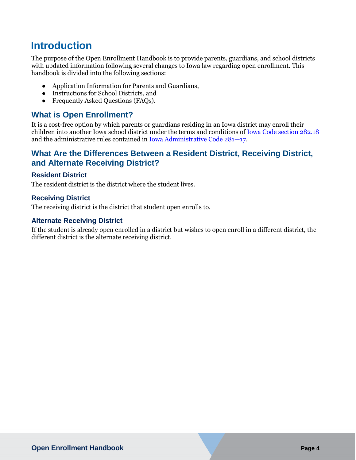## <span id="page-3-0"></span>**Introduction**

The purpose of the Open Enrollment Handbook is to provide parents, guardians, and school districts with updated information following several changes to Iowa law regarding open enrollment. This handbook is divided into the following sections:

- Application Information [for Parents and Guardians,](#page-3-3)
- [Instructions for School Districts,](#page-6-0) and
- [Frequently Asked Questions](#page-12-0) (FAQs).

## <span id="page-3-1"></span>**What is Open Enrollment?**

It is a cost-free option by which parents or guardians residing in an Iowa district may enroll their children into another Iowa school district under the terms and conditions of [Iowa Code section 282.18](https://www.legis.iowa.gov/docs/code/282.18.pdf) and the administrative rules contained in [Iowa Administrative Code 281](https://www.legis.iowa.gov/docs/iac/chapter/281.17.pdf)—17.

## <span id="page-3-2"></span>**What Are the Differences Between a Resident District, Receiving District, and Alternate Receiving District?**

#### **Resident District**

The resident district is the district where the student lives.

#### **Receiving District**

The receiving district is the district that student open enrolls to.

#### **Alternate Receiving District**

<span id="page-3-3"></span>If the student is already open enrolled in a district but wishes to open enroll in a different district, the different district is the alternate receiving district.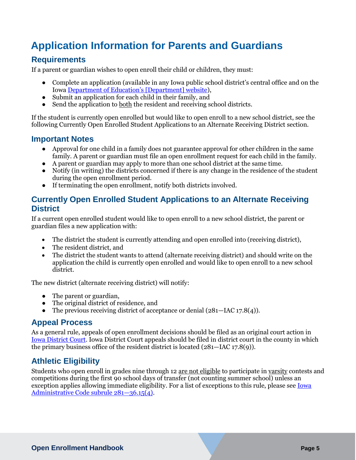## <span id="page-4-0"></span>**Application Information for Parents and Guardians**

## <span id="page-4-1"></span>**Requirements**

If a parent or guardian wishes to open enroll their child or children, they must:

- Complete an application (available in any Iowa public school district's central office and on the Iowa [Department of Education's \[Department\] website](https://educateiowa.gov/pk-12/options-educational-choice/open-enrollment)),
- Submit an application for each child in their family, and
- Send the application to both the resident and receiving school districts.

If the student is currently open enrolled but would like to open enroll to a new school district, see the following [Currently Open Enrolled Student Applications to an Alternate Receiving District](#page-4-3) section.

## <span id="page-4-2"></span>**Important Notes**

- Approval for one child in a family does not guarantee approval for other children in the same family. A parent or guardian must file an open enrollment request for each child in the family.
- A parent or guardian may apply to more than one school district at the same time.
- Notify (in writing) the districts concerned if there is any change in the residence of the student during the open enrollment period.
- If terminating the open enrollment, notify both districts involved.

## <span id="page-4-3"></span>**Currently Open Enrolled Student Applications to an Alternate Receiving District**

If a current open enrolled student would like to open enroll to a new school district, the parent or guardian files a new application with:

- The district the student is currently attending and open enrolled into (receiving district),
- The resident district, and
- The district the student wants to attend (alternate receiving district) and should write on the application the child is currently open enrolled and would like to open enroll to a new school district.

The new district (alternate receiving district) will notify:

- The parent or guardian,
- The original district of residence, and
- The previous receiving district of acceptance or denial  $(281 \text{IAC }17.8(4))$ .

## <span id="page-4-4"></span>**Appeal Process**

As a general rule, appeals of open enrollment decisions should be filed as an original court action in [Iowa District Court.](https://www.iowacourts.gov/iowa-courts/district-court/) Iowa District Court appeals should be filed in district court in the county in which the primary business office of the resident district is located (281—IAC 17.8(9)).

## <span id="page-4-5"></span>**Athletic Eligibility**

Students who open enroll in grades nine through 12 are not eligible to participate in varsity contests and competitions during the first 90 school days of transfer (not counting summer school) unless an exception applies allowing immediate eligibility. For a list of exceptions to this rule, please see [Iowa](https://www.legis.iowa.gov/docs/iac/rule/281.36.15.pdf)  [Administrative Code subrule 281](https://www.legis.iowa.gov/docs/iac/rule/281.36.15.pdf)—36.15(4).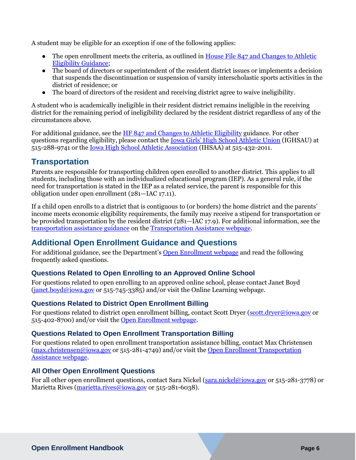A student may be eligible for an exception if one of the following applies:

- The open enrollment meets the criteria, as outlined in House File 847 and Changes to Athletic [Eligibility Guidance;](https://educateiowa.gov/documents/options-educational-choice/2021/07/house-file-847-and-changes-athletic-eligibility)
- The board of directors or superintendent of the resident district issues or implements a decision that suspends the discontinuation or suspension of varsity interscholastic sports activities in the district of residence; or
- The board of directors of the resident and receiving district agree to waive ineligibility.

A student who is academically ineligible in their resident district remains ineligible in the receiving district for the remaining period of ineligibility declared by the resident district regardless of any of the circumstances above.

For additional guidance, see the [HF 847 and Changes to Athletic Eligibility](https://educateiowa.gov/documents/options-educational-choice/2021/07/house-file-847-and-changes-athletic-eligibility) guidance. For other questions regarding eligibility, please contact the [Iowa Girls' High School Athletic Union](https://ighsau.org/) (IGHSAU) at 515-288-9741 or the [Iowa High School Athletic Association](https://www.iahsaa.org/) (IHSAA) at 515-432-2011.

## <span id="page-5-0"></span>**Transportation**

Parents are responsible for transporting children open enrolled to another district. This applies to all students, including those with an individualized educational program (IEP). As a general rule, if the need for transportation is stated in the IEP as a related service, the parent is responsible for this obligation under open enrollment (281—IAC 17.11).

If a child open enrolls to a district that is contiguous to (or borders) the home district and the parents' income meets economic eligibility requirements, the family may receive a stipend for transportation or be provided transportation by the resident district (281—IAC 17.9). For additional information, see the [transportation assistance guidance](https://educateiowa.gov/documents/options-educational-choice/2021/07/open-enrollment-transportation-assistance-guidance) on the [Transportation Assistance webpage.](https://educateiowa.gov/pk-12/school-transportation/open-enrollment-transportation-assistance)

## <span id="page-5-1"></span>**Additional Open Enrollment Guidance and Questions**

For additional guidance, see the Department's [Open Enrollment webpage](https://educateiowa.gov/pk-12/options-educational-choice/open-enrollment) and read the following frequently asked questions.

## **Questions Related to Open Enrolling to an Approved Online School**

For questions related to open enrolling to an approved online school, please contact Janet Boyd  $(janet.boyd@iowa.gov$  or 515-745-3385) and/or visit the Online Learning webpage.

#### **Questions Related to District Open Enrollment Billing**

For questions related to district open enrollment billing, contact Scott Dryer [\(scott.dryer@iowa.gov](mailto:scott.dryer@iowa.gov) or 515-402-8700) and/or visit the [Open Enrollment webpage.](https://educateiowa.gov/pk-12/options-educational-choice/open-enrollment)

#### **Questions Related to Open Enrollment Transportation Billing**

For questions related to open enrollment transportation assistance billing, contact Max Christensen [\(max.christensen@iowa.gov](mailto:max.christensen@iowa.gov) or 515-281-4749) and/or visit the [Open Enrollment Transportation](https://educateiowa.gov/pk-12/school-transportation/open-enrollment-transportation-assistance)  [Assistance webpage.](https://educateiowa.gov/pk-12/school-transportation/open-enrollment-transportation-assistance)

#### **All Other Open Enrollment Questions**

For all other open enrollment questions, contact Sara Nickel [\(sara.nickel@iowa.gov](mailto:sara.nickel@iowa.gov) or 515-281-3778) or Marietta Rives [\(marietta.rives@iowa.gov](mailto:marietta.rives@iowa.gov) or 515-281-6038).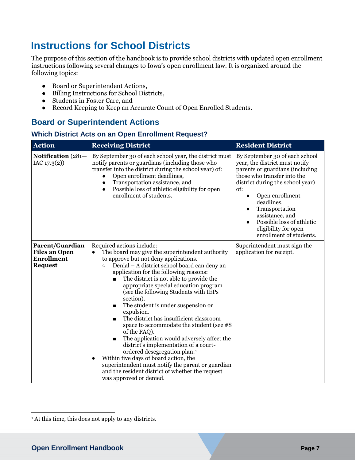## <span id="page-6-0"></span>**Instructions for School Districts**

The purpose of this section of the handbook is to provide school districts with updated open enrollment instructions following several changes to Iowa's open enrollment law. It is organized around the following topics:

- Board or Superintendent Actions,
- Billing Instructions for School Districts,
- Students in Foster Care, and
- Record Keeping to Keep an Accurate Count of Open Enrolled Students.

## <span id="page-6-1"></span>**Board or Superintendent Actions**

#### **Which District Acts on an Open Enrollment Request?**

| <b>Action</b>                                                                  | <b>Receiving District</b>                                                                                                                                                                                                                                                                                                                                                                                                                                                                                                                                                                                                                                                                                                                                                                                                                                                           | <b>Resident District</b>                                                                                                                                                                                                                                                                                                                                      |
|--------------------------------------------------------------------------------|-------------------------------------------------------------------------------------------------------------------------------------------------------------------------------------------------------------------------------------------------------------------------------------------------------------------------------------------------------------------------------------------------------------------------------------------------------------------------------------------------------------------------------------------------------------------------------------------------------------------------------------------------------------------------------------------------------------------------------------------------------------------------------------------------------------------------------------------------------------------------------------|---------------------------------------------------------------------------------------------------------------------------------------------------------------------------------------------------------------------------------------------------------------------------------------------------------------------------------------------------------------|
| Notification (281-<br>IAC 17.3(2)                                              | By September 30 of each school year, the district must<br>notify parents or guardians (including those who<br>transfer into the district during the school year) of:<br>Open enrollment deadlines,<br>Transportation assistance, and<br>$\bullet$<br>Possible loss of athletic eligibility for open<br>$\bullet$<br>enrollment of students.                                                                                                                                                                                                                                                                                                                                                                                                                                                                                                                                         | By September 30 of each school<br>year, the district must notify<br>parents or guardians (including<br>those who transfer into the<br>district during the school year)<br>of:<br>Open enrollment<br>$\bullet$<br>deadlines,<br>Transportation<br>$\bullet$<br>assistance, and<br>Possible loss of athletic<br>eligibility for open<br>enrollment of students. |
| Parent/Guardian<br><b>Files an Open</b><br><b>Enrollment</b><br><b>Request</b> | Required actions include:<br>The board may give the superintendent authority<br>$\bullet$<br>to approve but not deny applications.<br>Denial - A district school board can deny an<br>$\circ$<br>application for the following reasons:<br>The district is not able to provide the<br>appropriate special education program<br>(see the following Students with IEPs<br>section).<br>The student is under suspension or<br>п<br>expulsion.<br>The district has insufficient classroom<br>П<br>space to accommodate the student (see #8<br>of the FAQ).<br>The application would adversely affect the<br>district's implementation of a court-<br>ordered desegregation plan. <sup>1</sup><br>Within five days of board action, the<br>$\bullet$<br>superintendent must notify the parent or guardian<br>and the resident district of whether the request<br>was approved or denied. | Superintendent must sign the<br>application for receipt.                                                                                                                                                                                                                                                                                                      |

 $\overline{a}$ 

<sup>&</sup>lt;sup>1</sup> At this time, this does not apply to any districts.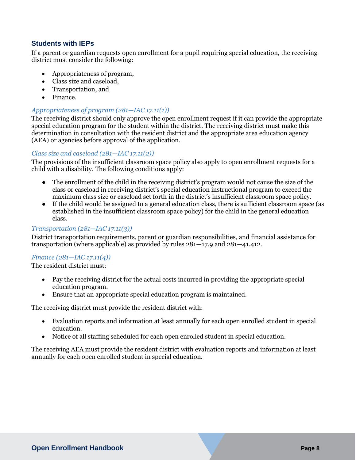#### <span id="page-7-0"></span>**Students with IEPs**

If a parent or guardian requests open enrollment for a pupil requiring special education, the receiving district must consider the following:

- Appropriateness of program,
- Class size and caseload,
- Transportation, and
- Finance.

#### *Appropriateness of program (281—IAC 17.11(1))*

The receiving district should only approve the open enrollment request if it can provide the appropriate special education program for the student within the district. The receiving district must make this determination in consultation with the resident district and the appropriate area education agency (AEA) or agencies before approval of the application.

#### *Class size and caseload (281—IAC 17.11(2))*

The provisions of the insufficient classroom space policy also apply to open enrollment requests for a child with a disability. The following conditions apply:

- The enrollment of the child in the receiving district's program would not cause the size of the class or caseload in receiving district's special education instructional program to exceed the maximum class size or caseload set forth in the district's insufficient classroom space policy.
- If the child would be assigned to a general education class, there is sufficient classroom space (as established in the insufficient classroom space policy) for the child in the general education class.

#### *Transportation (281—IAC 17.11(3))*

District transportation requirements, parent or guardian responsibilities, and financial assistance for transportation (where applicable) as provided by rules 281—17.9 and 281—41.412.

#### *Finance (281—IAC 17.11(4))*

The resident district must:

- Pay the receiving district for the actual costs incurred in providing the appropriate special education program.
- Ensure that an appropriate special education program is maintained.

The receiving district must provide the resident district with:

- Evaluation reports and information at least annually for each open enrolled student in special education.
- Notice of all staffing scheduled for each open enrolled student in special education.

The receiving AEA must provide the resident district with evaluation reports and information at least annually for each open enrolled student in special education.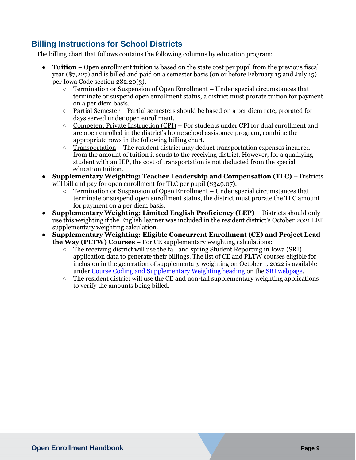## <span id="page-8-0"></span>**Billing Instructions for School Districts**

The billing chart that follows contains the following columns by education program:

- **Tuition**  Open enrollment tuition is based on the state cost per pupil from the previous fiscal year (\$7,227) and is billed and paid on a semester basis (on or before February 15 and July 15) per Iowa Code section 282.20(3).
	- Termination or Suspension of Open Enrollment Under special circumstances that terminate or suspend open enrollment status, a district must prorate tuition for payment on a per diem basis.
	- $\circ$  Partial Semester Partial semesters should be based on a per diem rate, prorated for days served under open enrollment.
	- Competent Private Instruction (CPI) For students under CPI for dual enrollment and are open enrolled in the district's home school assistance program, combine the appropriate rows in the following billing chart.
	- $\circ$  Transportation The resident district may deduct transportation expenses incurred from the amount of tuition it sends to the receiving district. However, for a qualifying student with an IEP, the cost of transportation is not deducted from the special education tuition.
- **Supplementary Weighting: Teacher Leadership and Compensation (TLC)**  Districts will bill and pay for open enrollment for TLC per pupil (\$349.07).
	- Termination or Suspension of Open Enrollment Under special circumstances that terminate or suspend open enrollment status, the district must prorate the TLC amount for payment on a per diem basis.
- **Supplementary Weighting: Limited English Proficiency (LEP)** Districts should only use this weighting if the English learner was included in the resident district's October 2021 LEP supplementary weighting calculation.
- **Supplementary Weighting: Eligible Concurrent Enrollment (CE) and Project Lead the Way (PLTW) Courses** – For CE supplementary weighting calculations:
	- The receiving district will use the fall and spring Student Reporting in Iowa (SRI) application data to generate their billings. The list of CE and PLTW courses eligible for inclusion in the generation of supplementary weighting on October 1, 2022 is available under [Course Coding and Supplementary Weighting heading](https://educateiowa.gov/data-reporting/data-reporting/student-reporting-iowa#Course_Coding_and_Supplementary_Weighting) on th[e](https://educateiowa.gov/data-reporting/data-reporting/student-reporting-iowa) [SRI webpage.](https://educateiowa.gov/data-reporting/data-reporting/student-reporting-iowa)
	- The resident district will use the CE and non-fall supplementary weighting applications to verify the amounts being billed.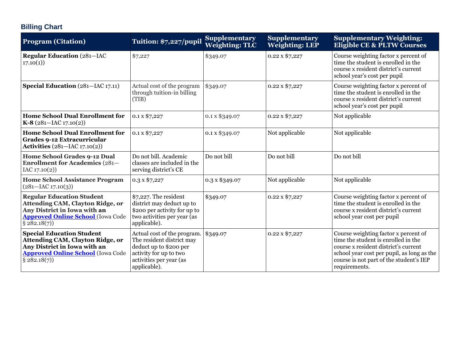## **Billing Chart**

| <b>Program (Citation)</b>                                                                                                                                               | Tuition: \$7,227/pupil                                                                                                                                  | <b>Supplementary</b><br><b>Weighting: TLC</b> | <b>Supplementary</b><br><b>Weighting: LEP</b> | <b>Supplementary Weighting:</b><br><b>Eligible CE &amp; PLTW Courses</b>                                                                                                                                                      |
|-------------------------------------------------------------------------------------------------------------------------------------------------------------------------|---------------------------------------------------------------------------------------------------------------------------------------------------------|-----------------------------------------------|-----------------------------------------------|-------------------------------------------------------------------------------------------------------------------------------------------------------------------------------------------------------------------------------|
| <b>Regular Education (281-IAC</b><br>17.10(1)                                                                                                                           | \$7,227                                                                                                                                                 | \$349.07                                      | 0.22 x \$7,227                                | Course weighting factor x percent of<br>time the student is enrolled in the<br>course x resident district's current<br>school year's cost per pupil                                                                           |
| Special Education (281-IAC 17.11)                                                                                                                                       | Actual cost of the program<br>through tuition-in billing<br>(TIB)                                                                                       | \$349.07                                      | 0.22 x \$7,227                                | Course weighting factor x percent of<br>time the student is enrolled in the<br>course x resident district's current<br>school year's cost per pupil                                                                           |
| <b>Home School Dual Enrollment for</b><br>$K-8$ (281-IAC 17.10(2))                                                                                                      | 0.1 x \$7,227                                                                                                                                           | 0.1 x \$349.07                                | 0.22 x \$7,227                                | Not applicable                                                                                                                                                                                                                |
| <b>Home School Dual Enrollment for</b><br>Grades 9-12 Extracurricular<br><b>Activities</b> (281–IAC 17.10(2))                                                           | 0.1 x \$7,227                                                                                                                                           | 0.1 x \$349.07                                | Not applicable                                | Not applicable                                                                                                                                                                                                                |
| Home School Grades 9-12 Dual<br><b>Enrollment for Academics (281–</b><br>IAC 17.10(2)                                                                                   | Do not bill. Academic<br>classes are included in the<br>serving district's CE                                                                           | Do not bill                                   | Do not bill                                   | Do not bill                                                                                                                                                                                                                   |
| <b>Home School Assistance Program</b><br>$(281 - IAC 17.10(3))$                                                                                                         | $0.3 \times $7,227$                                                                                                                                     | 0.3 x \$349.07                                | Not applicable                                | Not applicable                                                                                                                                                                                                                |
| <b>Regular Education Student</b><br><b>Attending CAM, Clayton Ridge, or</b><br>Any District in Iowa with an<br><b>Approved Online School</b> (Iowa Code<br>§ 282.18(7)) | \$7,227. The resident<br>district may deduct up to<br>\$200 per activity for up to<br>two activities per year (as<br>applicable).                       | \$349.07                                      | 0.22 x \$7,227                                | Course weighting factor x percent of<br>time the student is enrolled in the<br>course x resident district's current<br>school year cost per pupil                                                                             |
| <b>Special Education Student</b><br><b>Attending CAM, Clayton Ridge, or</b><br>Any District in Iowa with an<br><b>Approved Online School</b> (Iowa Code<br>§ 282.18(7)) | Actual cost of the program.<br>The resident district may<br>deduct up to \$200 per<br>activity for up to two<br>activities per year (as<br>applicable). | \$349.07                                      | 0.22 x \$7,227                                | Course weighting factor x percent of<br>time the student is enrolled in the<br>course x resident district's current<br>school year cost per pupil, as long as the<br>course is not part of the student's IEP<br>requirements. |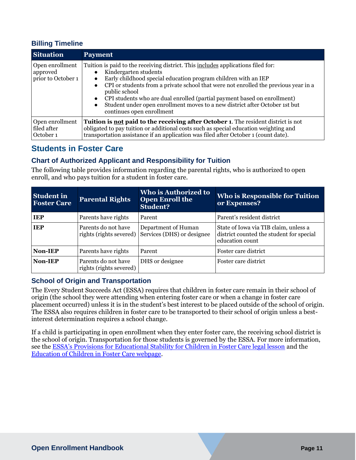#### **Billing Timeline**

| <b>Situation</b>                                  | <b>Payment</b>                                                                                                                                                                                                                                                                                                                                                                                                                                                                                                                  |
|---------------------------------------------------|---------------------------------------------------------------------------------------------------------------------------------------------------------------------------------------------------------------------------------------------------------------------------------------------------------------------------------------------------------------------------------------------------------------------------------------------------------------------------------------------------------------------------------|
| Open enrollment<br>approved<br>prior to October 1 | Tuition is paid to the receiving district. This includes applications filed for:<br>Kindergarten students<br>Early childhood special education program children with an IEP<br>$\bullet$<br>CPI or students from a private school that were not enrolled the previous year in a<br>$\bullet$<br>public school<br>CPI students who are dual enrolled (partial payment based on enrollment)<br>$\bullet$<br>Student under open enrollment moves to a new district after October 1st but<br>$\bullet$<br>continues open enrollment |
| Open enrollment<br>filed after<br>October 1       | <b>Tuition is not paid to the receiving after October 1.</b> The resident district is not<br>obligated to pay tuition or additional costs such as special education weighting and<br>transportation assistance if an application was filed after October 1 (count date).                                                                                                                                                                                                                                                        |

## <span id="page-10-0"></span>**Students in Foster Care**

### **Chart of Authorized Applicant and Responsibility for Tuition**

The following table provides information regarding the parental rights, who is authorized to open enroll, and who pays tuition for a student in foster care.

| <b>Student in</b><br><b>Foster Care</b> | <b>Parental Rights</b>                         | Who is Authorized to<br><b>Open Enroll the</b><br><b>Student?</b>         | <b>Who is Responsible for Tuition</b><br>or Expenses?                                                |
|-----------------------------------------|------------------------------------------------|---------------------------------------------------------------------------|------------------------------------------------------------------------------------------------------|
| <b>IEP</b>                              | Parents have rights                            | Parent                                                                    | Parent's resident district                                                                           |
| <b>IEP</b>                              | Parents do not have                            | Department of Human<br>rights (rights severed) Services (DHS) or designee | State of Iowa via TIB claim, unless a<br>district counted the student for special<br>education count |
| Non-IEP                                 | Parents have rights                            | Parent                                                                    | Foster care district                                                                                 |
| Non-IEP                                 | Parents do not have<br>rights (rights severed) | DHS or designee                                                           | Foster care district                                                                                 |

#### **School of Origin and Transportation**

The Every Student Succeeds Act (ESSA) requires that children in foster care remain in their school of origin (the school they were attending when entering foster care or when a change in foster care placement occurred) unless it is in the student's best interest to be placed outside of the school of origin. The ESSA also requires children in foster care to be transported to their school of origin unless a bestinterest determination requires a school change.

If a child is participating in open enrollment when they enter foster care, the receiving school district is the school of origin. Transportation for those students is governed by the ESSA. For more information, see the [ESSA's Provisions for Educational Stability for Children in Foster Care legal lesson](https://educateiowa.gov/resources/legal-resources/legal-lessons/essa-s-provisions-educational-stability-children-foster-care) and the [Education of Children in Foster Care webpage.](https://educateiowa.gov/pk-12/learner-supports/education-children-foster-care)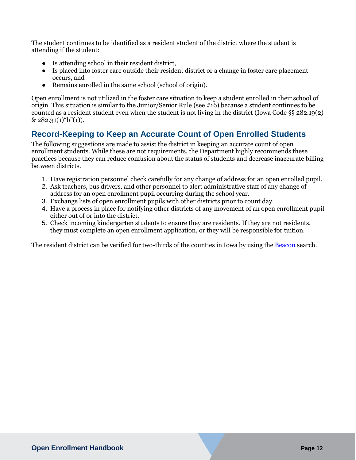The student continues to be identified as a resident student of the district where the student is attending if the student:

- Is attending school in their resident district,
- Is placed into foster care outside their resident district or a change in foster care placement occurs, and
- Remains enrolled in the same school (school of origin).

Open enrollment is not utilized in the foster care situation to keep a student enrolled in their school of origin. This situation is similar to the Junior/Senior Rule (see #16) because a student continues to be counted as a resident student even when the student is not living in the district (Iowa Code §§ 282.19(2)  $& 282.31(1)$ "b"(1)).

## <span id="page-11-0"></span>**Record-Keeping to Keep an Accurate Count of Open Enrolled Students**

The following suggestions are made to assist the district in keeping an accurate count of open enrollment students. While these are not requirements, the Department highly recommends these practices because they can reduce confusion about the status of students and decrease inaccurate billing between districts.

- 1. Have registration personnel check carefully for any change of address for an open enrolled pupil.
- 2. Ask teachers, bus drivers, and other personnel to alert administrative staff of any change of address for an open enrollment pupil occurring during the school year.
- 3. Exchange lists of open enrollment pupils with other districts prior to count day.
- 4. Have a process in place for notifying other districts of any movement of an open enrollment pupil either out of or into the district.
- 5. Check incoming kindergarten students to ensure they are residents. If they are not residents, they must complete an open enrollment application, or they will be responsible for tuition.

The resident district can be verified for two-thirds of the counties in Iowa by using th[e Beacon](https://beacon.schneidercorp.com/) search.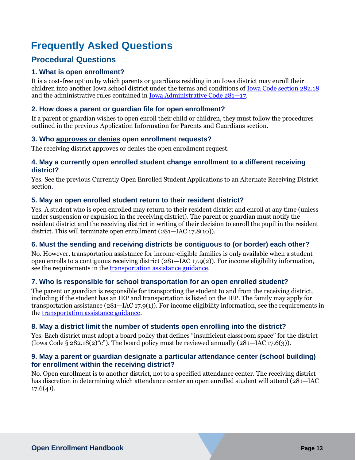## <span id="page-12-0"></span>**Frequently Asked Questions**

## <span id="page-12-1"></span>**Procedural Questions**

#### **1. What is open enrollment?**

It is a cost-free option by which parents or guardians residing in an Iowa district may enroll their children into another Iowa school district under the terms and conditions of [Iowa Code section 282.18](https://www.legis.iowa.gov/docs/code/2016/282.18.pdf) and the administrative rules contained in [Iowa Administrative Code 281](https://www.legis.iowa.gov/docs/iac/rule/281.17.4.pdf)—17.

#### **2. How does a parent or guardian file for open enrollment?**

If a parent or guardian wishes to open enroll their child or children, they must follow the procedures outlined in the previous Application Information [for Parents and Guardians](#page-3-3) section.

#### **3. Who approves or denies open enrollment requests?**

The receiving district approves or denies the open enrollment request.

#### **4. May a currently open enrolled student change enrollment to a different receiving district?**

Yes. See the previous [Currently Open Enrolled Student Applications to an Alternate Receiving District](#page-4-3) section.

#### **5. May an open enrolled student return to their resident district?**

Yes. A student who is open enrolled may return to their resident district and enroll at any time (unless under suspension or expulsion in the receiving district). The parent or guardian must notify the resident district and the receiving district in writing of their decision to enroll the pupil in the resident district. This will terminate open enrollment (281—IAC 17.8(10)).

#### **6. Must the sending and receiving districts be contiguous to (or border) each other?**

No. However, transportation assistance for income-eligible families is only available when a student open enrolls to a contiguous receiving district (281—IAC 17.9(2)). For income eligibility information, see the requirements in the [transportation assistance guidance.](https://educateiowa.gov/documents/options-educational-choice/2021/07/open-enrollment-transportation-assistance-guidance)

#### **7. Who is responsible for school transportation for an open enrolled student?**

The parent or guardian is responsible for transporting the student to and from the receiving district, including if the student has an IEP and transportation is listed on the IEP. The family may apply for transportation assistance  $(281 - \text{IAC }17.9(1))$ . For income eligibility information, see the requirements in the [transportation assistance guidance.](https://educateiowa.gov/documents/options-educational-choice/2021/07/open-enrollment-transportation-assistance-guidance)

#### **8. May a district limit the number of students open enrolling into the district?**

Yes. Each district must adopt a board policy that defines "insufficient classroom space" for the district (Iowa Code § 282.18(2) "c"). The board policy must be reviewed annually (281—IAC 17.6(3)).

#### **9. May a parent or guardian designate a particular attendance center (school building) for enrollment within the receiving district?**

No. Open enrollment is to another district, not to a specified attendance center. The receiving district has discretion in determining which attendance center an open enrolled student will attend (281—IAC  $17.6(4)$ ).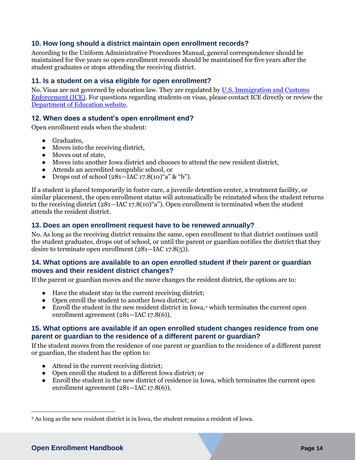#### **10. How long should a district maintain open enrollment records?**

According to the Uniform Administrative Procedures Manual, general correspondence should be maintained for five years so open enrollment records should be maintained for five years after the student graduates or stops attending the receiving district.

#### **11. Is a student on a visa eligible for open enrollment?**

No. Visas are not governed by education law. They are regulated by [U.S. Immigration and Customs](https://www.ice.gov/sevis)  [Enforcement \(ICE\).](https://www.ice.gov/sevis) For questions regarding students on visas, please contact ICE directly or review the [Department of Education website.](https://educateiowa.gov/resources/legal-resources/legal-lessons/foreign-exchange-students-those-j-1-visa)

#### **12. When does a student's open enrollment end?**

Open enrollment ends when the student:

- Graduates,
- Moves into the receiving district,
- Moves out of state,
- Moves into another Iowa district and chooses to attend the new resident district,
- Attends an accredited nonpublic school, or
- Drops out of school  $(281 \text{IAC } 17.8(10)$ "a" & "b").

If a student is placed temporarily in foster care, a juvenile detention center, a treatment facility, or similar placement, the open enrollment status will automatically be reinstated when the student returns to the receiving district (281—IAC 17.8(10)"a"). Open enrollment is terminated when the student attends the resident district.

#### **13. Does an open enrollment request have to be renewed annually?**

No. As long as the receiving district remains the same, open enrollment to that district continues until the student graduates, drops out of school, or until the parent or guardian notifies the district that they desire to terminate open enrollment (281—IAC 17.8(5)).

#### **14. What options are available to an open enrolled student if their parent or guardian moves and their resident district changes?**

If the parent or guardian moves and the move changes the resident district, the options are to:

- Have the student stay in the current receiving district;
- Open enroll the student to another Iowa district; or
- Enroll the student in the new resident district in Iowa,<sup>2</sup> which terminates the current open enrollment agreement (281—IAC 17.8(6)).

#### **15. What options are available if an open enrolled student changes residence from one parent or guardian to the residence of a different parent or guardian?**

If the student moves from the residence of one parent or guardian to the residence of a different parent or guardian, the student has the option to:

- Attend in the current receiving district;
- Open enroll the student to a different Iowa district; or
- Enroll the student in the new district of residence in Iowa, which terminates the current open enrollment agreement (281—IAC 17.8(6)).

 $\overline{a}$ 

<sup>2</sup> As long as the new resident district is in Iowa, the student remains a resident of Iowa.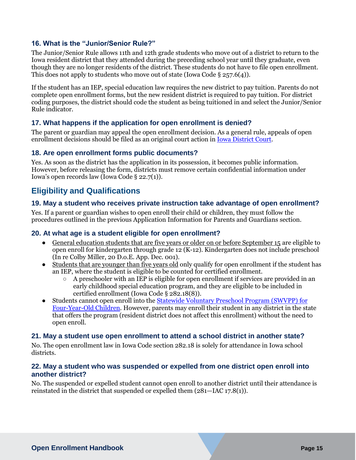#### **16. What is the "Junior/Senior Rule?"**

The Junior/Senior Rule allows 11th and 12th grade students who move out of a district to return to the Iowa resident district that they attended during the preceding school year until they graduate, even though they are no longer residents of the district. These students do not have to file open enrollment. This does not apply to students who move out of state (Iowa Code § 257.6(4)).

If the student has an IEP, special education law requires the new district to pay tuition. Parents do not complete open enrollment forms, but the new resident district is required to pay tuition. For district coding purposes, the district should code the student as being tuitioned in and select the Junior/Senior Rule indicator.

#### **17. What happens if the application for open enrollment is denied?**

The parent or guardian may appeal the open enrollment decision. As a general rule, appeals of open enrollment decisions should be filed as an original court action in [Iowa District Court.](https://www.iowacourts.gov/iowa-courts/district-court)

#### **18. Are open enrollment forms public documents?**

Yes. As soon as the district has the application in its possession, it becomes public information. However, before releasing the form, districts must remove certain confidential information under Iowa's open records law (Iowa Code § 22.7(1)).

## <span id="page-14-0"></span>**Eligibility and Qualifications**

#### **19. May a student who receives private instruction take advantage of open enrollment?**

Yes. If a parent or guardian wishes to open enroll their child or children, they must follow the procedures outlined in the previous Application Information [for Parents and Guardians](#page-3-3) section.

#### **20. At what age is a student eligible for open enrollment?**

- General education students that are five years or older on or before September 15 are eligible to open enroll for kindergarten through grade 12 (K-12). Kindergarten does not include preschool (In re Colby Miller, 20 D.o.E. App. Dec. 001).
- Students that are younger than five years old only qualify for open enrollment if the student has an IEP, where the student is eligible to be counted for certified enrollment.
	- $\circ$  A preschooler with an IEP is eligible for open enrollment if services are provided in an early childhood special education program, and they are eligible to be included in certified enrollment (Iowa Code § 282.18(8)).
- Students cannot open enroll into the Statewide Voluntary Preschool Program (SWVPP) for [Four-Year-Old Children.](https://educateiowa.gov/pk-12/early-childhood/statewide-voluntary-preschool-program-four-year-old-children) However, parents may enroll their student in any district in the state that offers the program (resident district does not affect this enrollment) without the need to open enroll.

#### **21. May a student use open enrollment to attend a school district in another state?**

No. The open enrollment law in Iowa Code section 282.18 is solely for attendance in Iowa school districts.

#### **22. May a student who was suspended or expelled from one district open enroll into another district?**

No. The suspended or expelled student cannot open enroll to another district until their attendance is reinstated in the district that suspended or expelled them (281—IAC 17.8(1)).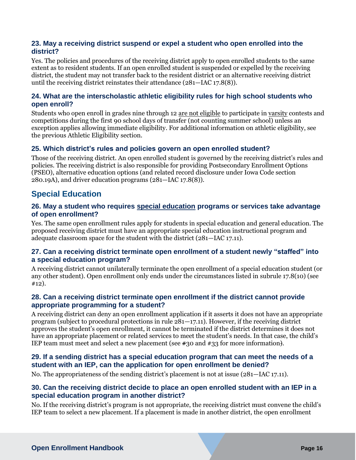#### **23. May a receiving district suspend or expel a student who open enrolled into the district?**

Yes. The policies and procedures of the receiving district apply to open enrolled students to the same extent as to resident students. If an open enrolled student is suspended or expelled by the receiving district, the student may not transfer back to the resident district or an alternative receiving district until the receiving district reinstates their attendance (281—IAC 17.8(8)).

#### **24. What are the interscholastic athletic eligibility rules for high school students who open enroll?**

Students who open enroll in grades nine through 12 are not eligible to participate in varsity contests and competitions during the first 90 school days of transfer (not counting summer school) unless an exception applies allowing immediate eligibility. For additional information on athletic eligibility, see the previou[s Athletic Eligibility](#page-4-5) section.

#### **25. Which district's rules and policies govern an open enrolled student?**

Those of the receiving district. An open enrolled student is governed by the receiving district's rules and policies. The receiving district is also responsible for providing Postsecondary Enrollment Options (PSEO), alternative education options (and related record disclosure under Iowa Code section 280.19A), and driver education programs (281—IAC 17.8(8)).

## <span id="page-15-0"></span>**Special Education**

#### **26. May a student who requires special education programs or services take advantage of open enrollment?**

Yes. The same open enrollment rules apply for students in special education and general education. The proposed receiving district must have an appropriate special education instructional program and adequate classroom space for the student with the district (281—IAC 17.11).

#### **27. Can a receiving district terminate open enrollment of a student newly "staffed" into a special education program?**

A receiving district cannot unilaterally terminate the open enrollment of a special education student (or any other student). Open enrollment only ends under the circumstances listed in subrule 17.8(10) (see #12).

#### **28. Can a receiving district terminate open enrollment if the district cannot provide appropriate programming for a student?**

A receiving district can deny an open enrollment application if it asserts it does not have an appropriate program (subject to procedural protections in rule 281—17.11). However, if the receiving district approves the student's open enrollment, it cannot be terminated if the district determines it does not have an appropriate placement or related services to meet the student's needs. In that case, the child's IEP team must meet and select a new placement (see #30 and #33 for more information).

#### **29. If a sending district has a special education program that can meet the needs of a student with an IEP, can the application for open enrollment be denied?**

No. The appropriateness of the sending district's placement is not at issue (281—IAC 17.11).

#### **30. Can the receiving district decide to place an open enrolled student with an IEP in a special education program in another district?**

No. If the receiving district's program is not appropriate, the receiving district must convene the child's IEP team to select a new placement. If a placement is made in another district, the open enrollment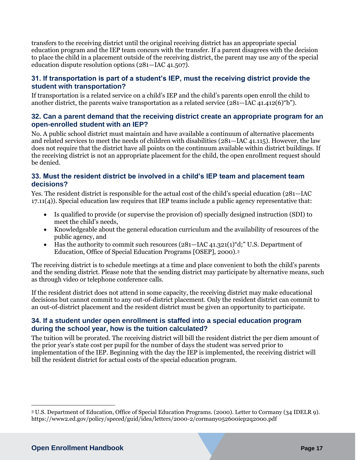transfers to the receiving district until the original receiving district has an appropriate special education program and the IEP team concurs with the transfer. If a parent disagrees with the decision to place the child in a placement outside of the receiving district, the parent may use any of the special education dispute resolution options (281—IAC 41.507).

#### **31. If transportation is part of a student's IEP, must the receiving district provide the student with transportation?**

If transportation is a related service on a child's IEP and the child's parents open enroll the child to another district, the parents waive transportation as a related service (281—IAC 41.412(6)"b").

#### **32. Can a parent demand that the receiving district create an appropriate program for an open-enrolled student with an IEP?**

No. A public school district must maintain and have available a continuum of alternative placements and related services to meet the needs of children with disabilities (281—IAC 41.115). However, the law does not require that the district have all points on the continuum available within district buildings. If the receiving district is not an appropriate placement for the child, the open enrollment request should be denied.

#### **33. Must the resident district be involved in a child's IEP team and placement team decisions?**

Yes. The resident district is responsible for the actual cost of the child's special education (281—IAC 17.11(4)). Special education law requires that IEP teams include a public agency representative that:

- Is qualified to provide (or supervise the provision of) specially designed instruction (SDI) to meet the child's needs,
- Knowledgeable about the general education curriculum and the availability of resources of the public agency, and
- Has the authority to commit such resources  $(281 \text{IAC } 41.321(1) \text{°d};$  U.S. Department of Education, Office of Special Education Programs [OSEP], 2000).<sup>3</sup>

The receiving district is to schedule meetings at a time and place convenient to both the child's parents and the sending district. Please note that the sending district may participate by alternative means, such as through video or telephone conference calls.

If the resident district does not attend in some capacity, the receiving district may make educational decisions but cannot commit to any out-of-district placement. Only the resident district can commit to an out-of-district placement and the resident district must be given an opportunity to participate.

#### **34. If a student under open enrollment is staffed into a special education program during the school year, how is the tuition calculated?**

The tuition will be prorated. The receiving district will bill the resident district the per diem amount of the prior year's state cost per pupil for the number of days the student was served prior to implementation of the IEP. Beginning with the day the IEP is implemented, the receiving district will bill the resident district for actual costs of the special education program.

 $\overline{a}$ 

<sup>3</sup> U.S. Department of Education, Office of Special Education Programs. (2000). Letter to Cormany (34 IDELR 9). https://www2.ed.gov/policy/speced/guid/idea/letters/2000-2/cormany052600iep2q2000.pdf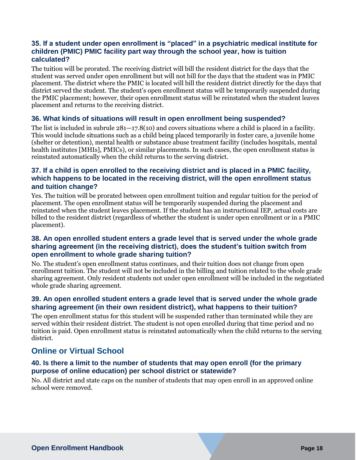#### **35. If a student under open enrollment is "placed" in a psychiatric medical institute for children (PMIC) PMIC facility part way through the school year, how is tuition calculated?**

The tuition will be prorated. The receiving district will bill the resident district for the days that the student was served under open enrollment but will not bill for the days that the student was in PMIC placement. The district where the PMIC is located will bill the resident district directly for the days that district served the student. The student's open enrollment status will be temporarily suspended during the PMIC placement; however, their open enrollment status will be reinstated when the student leaves placement and returns to the receiving district.

#### **36. What kinds of situations will result in open enrollment being suspended?**

The list is included in subrule 281—17.8(10) and covers situations where a child is placed in a facility. This would include situations such as a child being placed temporarily in foster care, a juvenile home (shelter or detention), mental health or substance abuse treatment facility (includes hospitals, mental health institutes [MHIs], PMICs), or similar placements. In such cases, the open enrollment status is reinstated automatically when the child returns to the serving district.

#### **37. If a child is open enrolled to the receiving district and is placed in a PMIC facility, which happens to be located in the receiving district, will the open enrollment status and tuition change?**

Yes. The tuition will be prorated between open enrollment tuition and regular tuition for the period of placement. The open enrollment status will be temporarily suspended during the placement and reinstated when the student leaves placement. If the student has an instructional IEP, actual costs are billed to the resident district (regardless of whether the student is under open enrollment or in a PMIC placement).

#### **38. An open enrolled student enters a grade level that is served under the whole grade sharing agreement (in the receiving district), does the student's tuition switch from open enrollment to whole grade sharing tuition?**

No. The student's open enrollment status continues, and their tuition does not change from open enrollment tuition. The student will not be included in the billing and tuition related to the whole grade sharing agreement. Only resident students not under open enrollment will be included in the negotiated whole grade sharing agreement.

#### **39. An open enrolled student enters a grade level that is served under the whole grade sharing agreement (in their own resident district), what happens to their tuition?**

The open enrollment status for this student will be suspended rather than terminated while they are served within their resident district. The student is not open enrolled during that time period and no tuition is paid. Open enrollment status is reinstated automatically when the child returns to the serving district.

## <span id="page-17-0"></span>**Online or Virtual School**

#### **40. Is there a limit to the number of students that may open enroll (for the primary purpose of online education) per school district or statewide?**

No. All district and state caps on the number of students that may open enroll in an approved online school were removed.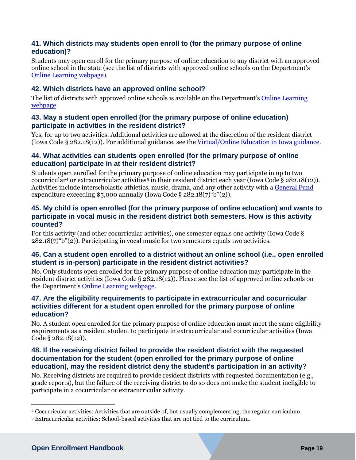#### **41. Which districts may students open enroll to (for the primary purpose of online education)?**

Students may open enroll for the primary purpose of online education to any district with an approved online school in the state (see the list of districts with approved online schools on the Department's [Online Learning webpage\)](https://educateiowa.gov/pk-12/educational-technology/online-learning).

#### **42. Which districts have an approved online school?**

The list of districts with approved online schools is available on the Department's [Online Learning](https://educateiowa.gov/pk-12/educational-technology/online-learning)  [webpage.](https://educateiowa.gov/pk-12/educational-technology/online-learning)

#### **43. May a student open enrolled (for the primary purpose of online education) participate in activities in the resident district?**

Yes, for up to two activities. Additional activities are allowed at the discretion of the resident district (Iowa Code § 282.18(12)). For additional guidance, see th[e Virtual/Online Education in Iowa guidance.](https://educateiowa.gov/documents/legislative-information/2018/08/virtualonline-education-iowa-guidance-sf475-sf2131-and-sf)

#### **44. What activities can students open enrolled (for the primary purpose of online education) participate in at their resident district?**

Students open enrolled for the primary purpose of online education may participate in up to two cocurricular<sup>4</sup> or extracurricular activities<sup>5</sup> in their resident district each year (Iowa Code § 282.18(12)). Activities include interscholastic athletics, music, drama, and any other activity with [a General Fund](https://educateiowa.gov/pk-12/school-business-and-finance/levies-and-funds/general-fund) expenditure exceeding \$5,000 annually (Iowa Code §  $282.18(7)$ "b"(2)).

#### **45. My child is open enrolled (for the primary purpose of online education) and wants to participate in vocal music in the resident district both semesters. How is this activity counted?**

For this activity (and other cocurricular activities), one semester equals one activity (Iowa Code §  $282.18(7)$   $b$ "(2)). Participating in vocal music for two semesters equals two activities.

#### **46. Can a student open enrolled to a district without an online school (i.e., open enrolled student is in-person) participate in the resident district activities?**

No. Only students open enrolled for the primary purpose of online education may participate in the resident district activities (Iowa Code § 282.18(12)). Please see the list of approved online schools on the Department's [Online Learning webpage.](https://educateiowa.gov/pk-12/educational-technology/online-learning)

#### **47. Are the eligibility requirements to participate in extracurricular and cocurricular activities different for a student open enrolled for the primary purpose of online education?**

No. A student open enrolled for the primary purpose of online education must meet the same eligibility requirements as a resident student to participate in extracurricular and cocurricular activities (Iowa Code § 282.18(12)).

#### **48. If the receiving district failed to provide the resident district with the requested documentation for the student (open enrolled for the primary purpose of online education), may the resident district deny the student's participation in an activity?**

No. Receiving districts are required to provide resident districts with requested documentation (e.g., grade reports), but the failure of the receiving district to do so does not make the student ineligible to participate in a cocurricular or extracurricular activity.

 $\overline{a}$ 

<sup>4</sup> Cocurricular activities: Activities that are outside of, but usually complementing, the regular curriculum.

<sup>5</sup> Extracurricular activities: School-based activities that are not tied to the curriculum.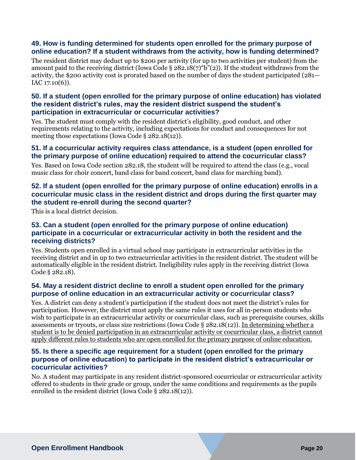#### **49. How is funding determined for students open enrolled for the primary purpose of online education? If a student withdraws from the activity, how is funding determined?**

The resident district may deduct up to \$200 per activity (for up to two activities per student) from the amount paid to the receiving district (Iowa Code § 282.18(7) "b"(2)). If the student withdraws from the activity, the \$200 activity cost is prorated based on the number of days the student participated (281—  $IAC 17.10(6)$ .

#### **50. If a student (open enrolled for the primary purpose of online education) has violated the resident district's rules, may the resident district suspend the student's participation in extracurricular or cocurricular activities?**

Yes. The student must comply with the resident district's eligibility, good conduct, and other requirements relating to the activity, including expectations for conduct and consequences for not meeting those expectations (Iowa Code § 282.18(12)).

#### **51. If a cocurricular activity requires class attendance, is a student (open enrolled for the primary purpose of online education) required to attend the cocurricular class?**

Yes. Based on Iowa Code section 282.18, the student will be required to attend the class (e.g., vocal music class for choir concert, band class for band concert, band class for marching band).

#### **52. If a student (open enrolled for the primary purpose of online education) enrolls in a cocurricular music class in the resident district and drops during the first quarter may the student re-enroll during the second quarter?**

This is a local district decision.

#### **53. Can a student (open enrolled for the primary purpose of online education) participate in a cocurricular or extracurricular activity in both the resident and the receiving districts?**

Yes. Students open enrolled in a virtual school may participate in extracurricular activities in the receiving district and in up to two extracurricular activities in the resident district. The student will be automatically eligible in the resident district. Ineligibility rules apply in the receiving district (Iowa Code § 282.18).

#### **54. May a resident district decline to enroll a student open enrolled for the primary purpose of online education in an extracurricular activity or cocurricular class?**

Yes. A district can deny a student's participation if the student does not meet the district's rules for participation. However, the district must apply the same rules it uses for all in-person students who wish to participate in an extracurricular activity or cocurricular class, such as prerequisite courses, skills assessments or tryouts, or class size restrictions (Iowa Code § 282.18(12)). In determining whether a student is to be denied participation in an extracurricular activity or cocurricular class, a district cannot apply different rules to students who are open enrolled for the primary purpose of online education.

#### **55. Is there a specific age requirement for a student (open enrolled for the primary purpose of online education) to participate in the resident district's extracurricular or cocurricular activities?**

No. A student may participate in any resident district-sponsored cocurricular or extracurricular activity offered to students in their grade or group, under the same conditions and requirements as the pupils enrolled in the resident district (Iowa Code § 282.18(12)).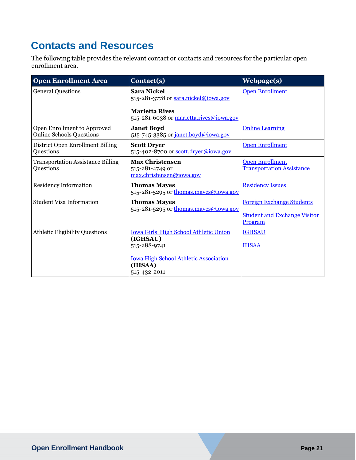## <span id="page-20-0"></span>**Contacts and Resources**

The following table provides the relevant contact or contacts and resources for the particular open enrollment area.

| <b>Open Enrollment Area</b>                                    | Contact(s)                                                                                                                | <b>Webpage(s)</b>                                                                  |
|----------------------------------------------------------------|---------------------------------------------------------------------------------------------------------------------------|------------------------------------------------------------------------------------|
| <b>General Questions</b>                                       | <b>Sara Nickel</b><br>515-281-3778 or sara.nickel@iowa.gov                                                                | <b>Open Enrollment</b>                                                             |
|                                                                | <b>Marietta Rives</b><br>515-281-6038 or marietta.rives@iowa.gov                                                          |                                                                                    |
| Open Enrollment to Approved<br><b>Online Schools Questions</b> | <b>Janet Boyd</b><br>515-745-3385 or janet.boyd@jowa.gov                                                                  | <b>Online Learning</b>                                                             |
| District Open Enrollment Billing<br>Questions                  | <b>Scott Dryer</b><br>515-402-8700 or scott.dryer@iowa.gov                                                                | <b>Open Enrollment</b>                                                             |
| <b>Transportation Assistance Billing</b><br>Questions          | <b>Max Christensen</b><br>515-281-4749 or<br>max.christensen@iowa.gov                                                     | <b>Open Enrollment</b><br><b>Transportation Assistance</b>                         |
| <b>Residency Information</b>                                   | <b>Thomas Mayes</b><br>515-281-5295 or thomas.mayes@iowa.gov                                                              | <b>Residency Issues</b>                                                            |
| <b>Student Visa Information</b>                                | <b>Thomas Mayes</b><br>515-281-5295 or thomas.mayes@iowa.gov                                                              | <b>Foreign Exchange Students</b><br><b>Student and Exchange Visitor</b><br>Program |
| <b>Athletic Eligibility Questions</b>                          | <b>Iowa Girls' High School Athletic Union</b><br>(IGHSAU)<br>515-288-9741<br><b>Iowa High School Athletic Association</b> | <b>IGHSAU</b><br><b>IHSAA</b>                                                      |
|                                                                | (IHSAA)<br>515-432-2011                                                                                                   |                                                                                    |